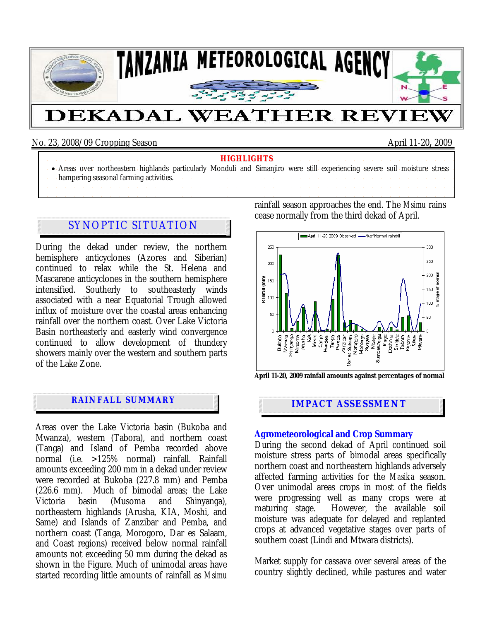

## No. 23, 2008/09 Cropping Season April 11-20**,** 2009

- **HIGHLIGHTS** Areas over northeastern highlands particularly Monduli and Simanjiro were still experiencing severe soil moisture stress
- hampering seasonal farming activities.

# SYNOPTIC SITUATION

During the dekad under review, the northern hemisphere anticyclones (Azores and Siberian) continued to relax while the St. Helena and Mascarene anticyclones in the southern hemisphere intensified. Southerly to southeasterly winds associated with a near Equatorial Trough allowed influx of moisture over the coastal areas enhancing rainfall over the northern coast. Over Lake Victoria Basin northeasterly and easterly wind convergence continued to allow development of thundery showers mainly over the western and southern parts of the Lake Zone.

# **IMPACT ASSESSMENT**

j

Areas over the Lake Victoria basin (Bukoba and Mwanza), western (Tabora), and northern coast (Tanga) and Island of Pemba recorded above normal (i.e. >125% normal) rainfall. Rainfall amounts exceeding 200 mm in a dekad under review were recorded at Bukoba (227.8 mm) and Pemba (226.6 mm). Much of bimodal areas; the Lake Victoria basin (Musoma and Shinyanga), northeastern highlands (Arusha, KIA, Moshi, and Same) and Islands of Zanzibar and Pemba, and northern coast (Tanga, Morogoro, Dar es Salaam, and Coast regions) received below normal rainfall amounts not exceeding 50 mm during the dekad as shown in the Figure. Much of unimodal areas have started recording little amounts of rainfall as *Msimu* rainfall season approaches the end. The *Msimu* rains cease normally from the third dekad of April.



#### **Agrometeorological and Crop Summary**

During the second dekad of April continued soil moisture stress parts of bimodal areas specifically northern coast and northeastern highlands adversely affected farming activities for the *Masika* season. Over unimodal areas crops in most of the fields were progressing well as many crops were at maturing stage. However, the available soil moisture was adequate for delayed and replanted crops at advanced vegetative stages over parts of southern coast (Lindi and Mtwara districts).

Market supply for cassava over several areas of the country slightly declined, while pastures and water